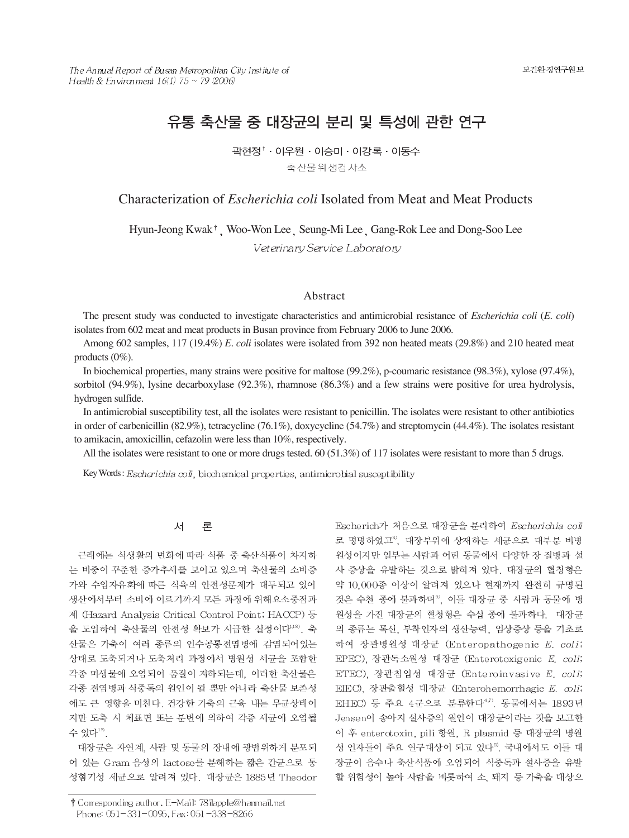# 유통 축산물 중 대장균의 분리 및 특성에 관한 연구

곽현정<sup>↑</sup> 이우원 · 이승미 · 이강록 · 이동수 축산물위생검사소

# Characterization of *Escherichia coli* Isolated from Meat and Meat Products

Hyun-Jeong Kwak<sup>†</sup>, Woo-Won Lee, Seung-Mi Lee, Gang-Rok Lee and Dong-Soo Lee

Veterinary Service Laboratory

# Abstract

The present study was conducted to investigate characteristics and antimicrobial resistance of *Escherichia coli* (*E. coli*) isolates from 602 meat and meat products in Busan province from February 2006 to June 2006.

Among 602 samples, 117 (19.4%) *E. coli* isolates were isolated from 392 non heated meats (29.8%) and 210 heated meat products (0%).

In biochemical properties, many strains were positive for maltose (99.2%), p-coumaric resistance (98.3%), xylose (97.4%), sorbitol (94.9%), lysine decarboxylase (92.3%), rhamnose (86.3%) and a few strains were positive for urea hydrolysis, hydrogen sulfide.

In antimicrobial susceptibility test, all the isolates were resistant to penicillin. The isolates were resistant to other antibiotics in order of carbenicillin (82.9%), tetracycline (76.1%), doxycycline (54.7%) and streptomycin (44.4%). The isolates resistant to amikacin, amoxicillin, cefazolin were less than 10%, respectively.

All the isolates were resistant to one or more drugs tested. 60 (51.3%) of 117 isolates were resistant to more than 5 drugs.

Key Words: Escherichia coli, biochemical properties, antimicrobial susceptibility

#### 서 론

근래에는 식생활의 변화에 따라 식품 중 축산식품이 차지하 는 비중이 꾸준한 증가추세를 보이고 있으며 축산물의 소비증 가와 수입자유화에 따른 식육의 안전성문제가 대두되고 있어 생산에서부터 소비에 이르기까지 모든 과정에 위해요소중점과 제 (Hazard Analysis Critical Control Point; HACCP) 등 울 도입하여 축산물의 안전성 확보가 시급한 실정이다<sup>1,18)</sup>. 축 산물은 가축이 여러 종류의 인수공통전염병에 감염되어있는 상태로 도축되거나 도축처리 과정에서 병원성 세균을 포함한 각종 미생물에 오염되어 품질이 저하되는데, 이러한 축산물은 각종 전염병과 식중독의 원인이 될 뿐만 아니라 축산물 보존성 에도 큰 영향을 미친다. 건강한 가축의 근육 내는 무균상태이 지만 도축 시 체표면 또는 분변에 의하여 각종 세균에 오염될 수 있다".

대장균은 자연계, 사람 및 동물의 장내에 광범위하게 분포되 어 있는 Gram 음성의 lactose를 분해하는 짧은 간균으로 통 성혐기성 세균으로 알려져 있다. 대장균은 1885년 Theodor

† Corresponding author. E-Mail: 78 ilapple@hanmail.net Phone: 051-331-0095, Fax: 051-338-8266

Escherich가 처음으로 대장균을 분리하여 Escherichia coli 로 명명하였고3, 대장부위에 상재하는 세균으로 대부분 비병 원성이지만 일부는 사람과 어린 동물에서 다양한 장 질병과 설 사 증상을 유발하는 것으로 밝혀져 있다. 대장균의 혈청형은 약 10,000종 이상이 알려져 있으나 현재까지 완전히 규명된 것은 수천 종에 불과하며<sup>9</sup>, 이들 대장균 중 사람과 동물에 병 원성을 가진 대장균의 혈청형은 수십 종에 불과하다. 대장균 의 종류는 톡신, 부착인자의 생산능력, 임상증상 등을 기초로 하여 장관병원성 대장균 (Enteropathogenic E. coli; EPEC) 장관독소원성 대장균 (Enterotoxigenic E. coli; ETEC), 장관침입성 대장균 (Enteroinvasive E. coli; EIEC), 장관출혈성 대장균 (Enterohemorrhagic E. coli; EHEC) 등 주요 4군으로 분류한다<sup>4,7</sup>. 동물에서는 1893년 Jensen이 송아지 설사증의 원인이 대장균이라는 것을 보고한 이 후 enterotoxin, pili 항원, R plasmid 등 대장균의 병원 성 인자들이 주요 연구대상이 되고 있다<sup>2)</sup>. 국내에서도 이들 대 장균이 음수나 축산식품에 오염되어 식중독과 설사증을 유발 할 위험성이 높아 사람을 비롯하여 소, 돼지 등 가축을 대상으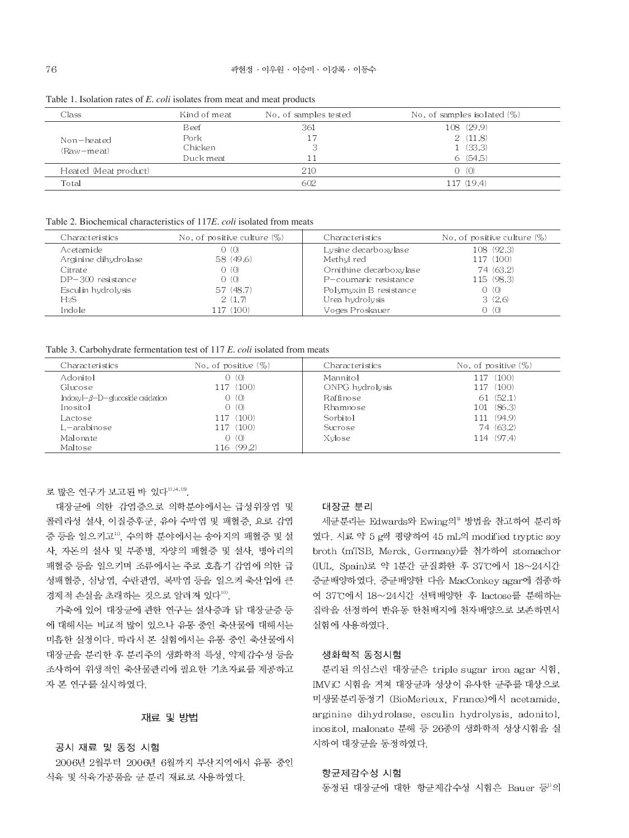| Class                 | Kind of meat | No. of samples tested | No. of samples isolated (%) |
|-----------------------|--------------|-----------------------|-----------------------------|
|                       | Beef         | 361                   | 108 (29.9)                  |
| Non-heated            | Pork         | 17                    | 2(11.8)                     |
| (Raw-meat)            | Chicken      |                       | 1(33.3)                     |
|                       | Duck meat    |                       | 6(54.5)                     |
| Heated (Meat product) |              | 210                   | $0 \t(0)$                   |
| Total                 |              | 602                   | 117 (19.4)                  |

Table 1. Isolation rates of E. coli isolates from meat and meat products

Table 2. Biochemical characteristics of 117E, coli isolated from meats

| Characteristics      | No, of positive culture $(\%)$ | Characteristics         | No, of positive culture $(\%)$ |
|----------------------|--------------------------------|-------------------------|--------------------------------|
| Acetamide            | 0(0)                           | Lysine decarboxylase    | 108 (92.3)                     |
| Arginine dihydrolase | 58 (49.6)                      | Methyl red              | 117 (100)                      |
| Citrate              | 0(0)                           | Ornithine decarboxylase | 74 (63.2)                      |
| DP-300 resistance    | 0(0)                           | P-coumaric resistance   | 115 (98.3)                     |
| Esculin hydrolysis   | 57 (48.7)                      | Polymyxin B resistance  | $0 \t(0)$                      |
| H2S                  | 2(1,7)                         | Urea hydrolysis         | 3(2.6)                         |
| Indole               | L17 (100)                      | Voges Proskauer         | $0 \t(0)$                      |

Table 3. Carbohydrate fermentation test of 117 E. coli isolated from meats

| Characteristics                         | No. of positive $(\%)$ | Characteristics | No. of positive $(\%)$ |
|-----------------------------------------|------------------------|-----------------|------------------------|
| Adonitol                                | - (O)<br>Ω             | Mannitol        | (100)<br>-17           |
| Glucose                                 | 117 (100)              | ONPG hydrolysis | 117 (100)              |
| Indoxyl- $\beta$ -D-glucoside oxidation | 0(0)                   | Raffinose       | 61(52.1)               |
| Inositol                                | 0(0)                   | Rhamnose        | 101 (86.3)             |
| Lactose                                 | 117 (100)              | Sorbitol        | 11 (94.9)              |
| _–arabinose                             | 117 (100)              | Sucrose         | 74 (63.2)              |
| Malonate                                | 0(0)                   | Xylose          | 114 (97.4)             |
| Maltose                                 | 116 (99.2)             |                 |                        |

로 많은 연구가 보고된 바 있다<sup>11,14,15</sup>.

대장균에 의한 감염증으로 의학분야에서는 급성위장염 및 콜레라성 설사, 이질증후군, 유아 수막염 및 패혈증, 요로 감염 증 등을 일으키고", 수의학 분야에서는 송아지의 패혈증 및 설 사, 자돈의 설사 및 부종병, 자양의 패혈증 및 설사, 병아리의 패혈증 등을 일으키며 조류에서는 주로 호흡기 감염에 의한 급 성패혈증, 심낭염, 수란관염, 복막염 등을 일으켜 축산업에 큰 경제적 손실을 초래하는 것으로 알려져 있다<sup>10</sup>.

가축에 있어 대장균에 관한 연구는 설사증과 닭 대장균증 등 에 대해서는 비교적 많이 있으나 유통 중인 축산물에 대해서는 미흡한 실정이다. 따라서 본 실험에서는 유통 중인 축산물에서 대장균을 분리한 후 분리주의 생화학적 특성, 약제감수성 등을 조사하여 위생적인 축산물관리에 필요한 기초자료를 제공하고 자 본 연구를 실시하였다.

# 재료 및 방법

#### 공시 재료 및 동정 시험

2006년 2월부터 2006년 6월까지 부산지역에서 유통 중인 식육 및 식육가공품을 균 분리 재료로 사용하였다.

# 대장균 분리

세균분리는 Edwards와 Ewing의<sup>®</sup> 방법을 참고하여 분리하 였다. 시료 약 5 g씩 평량하여 45 mL의 modified tryptic soy broth (mTSB, Merck, Germany)를 첨가하여 stomachor (IUL, Spain)로 약 1분간 균질화한 후 37°C에서 18~24시간 증균배양하였다. 증균배양한 다음 MacConkey agar에 접종하 여 37°C에서 18~24시간 선택배양한 후 lactose를 분해하는 집락을 선정하여 반유동 한천배지에 천자배양으로 보존하면서 실험에 사용하였다.

## 생화학적 동정시험

분리된 의심스런 대장균은 triple sugar iron agar 시험, IMViC 시험을 거쳐 대장균과 성상이 유사한 균주를 대상으로 미생물분리동정기 (BioMerieux, France)에서 acetamide, arginine dihydrolase, esculin hydrolysis, adonitol, inositol, malonate 분해 등 26종의 생화학적 성상시험을 실 시하여 대장균을 동정하였다.

### 항균제감수성 시험

동정된 대장균에 대한 항균제감수성 시험은 Bauer 등 의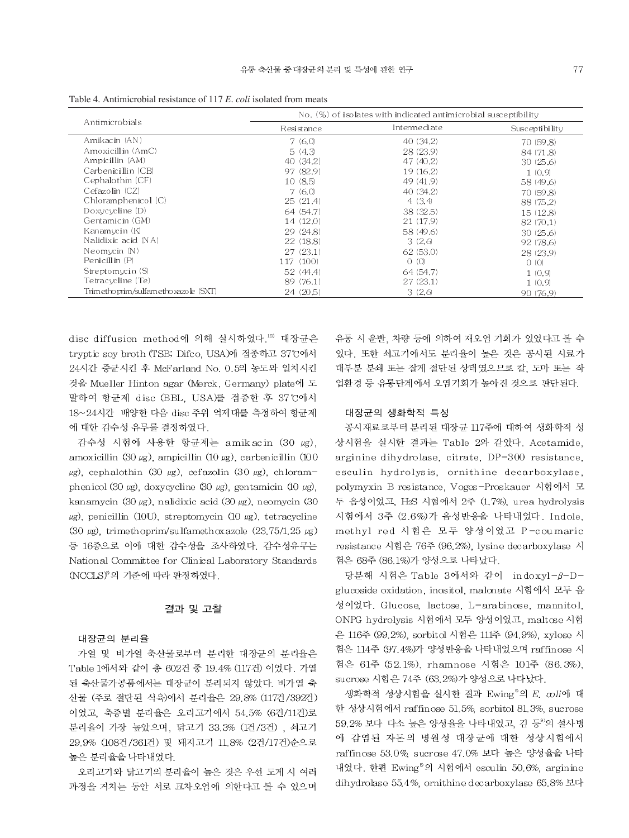|                                         | $\mathbb{N}$ o, $(\%)$ of isolates with indicated antimicrobial susceptibility |              |                |  |
|-----------------------------------------|--------------------------------------------------------------------------------|--------------|----------------|--|
| Antimicrobials                          | Resistance                                                                     | Intermediate | Susceptibility |  |
| Amikacin (AN)                           | 7(6,0)                                                                         | 40 (34.2)    | 70 (59.8)      |  |
| Amoxicillin (AmC)                       | 5(4,3)                                                                         | 28 (23.9)    | 84 (71.8)      |  |
| Ampicillin (AM)                         | 40 (34.2)                                                                      | 47(40.2)     | 30(25.6)       |  |
| Carbenicillin (CB)                      | 97 (82.9)                                                                      | 19 (16.2)    | 1(0.9)         |  |
| Cephalothin (CF)                        | 10(8.5)                                                                        | 49 (41.9)    | 58 (49.6)      |  |
| Cefazolin (CZ)                          | 7(6,0)                                                                         | 40 (34.2)    | 70 (59.8)      |  |
| Chloramphenicol (C)                     | 25(21.4)                                                                       | 4(3,4)       | 88 (75.2)      |  |
| Doxycvcline(10)                         | 64 (54.7)                                                                      | 38 (32.5)    | 15(12.8)       |  |
| Gentamicin (GM)                         | 14(12.0)                                                                       | 21 (17.9)    | 82(70.1)       |  |
| Kanamucin (K)                           | 29 (24.8)                                                                      | 58 (49.6)    | 30(25.6)       |  |
| Nalidixic acid (NA)                     | 22 (18.8)                                                                      | 3(2,6)       | 92 (78.6)      |  |
| Neomycin(N)                             | 27(23.1)                                                                       | 62(53.0)     | 28 (23.9)      |  |
| Penicillin (P)                          | 117 (100)                                                                      | O(0)         | 0(0)           |  |
| Streptomycin (S)                        | 52(44.4)                                                                       | 64 (54.7)    | 1(0,9)         |  |
| Tetracycline (Te)                       | 89 (76.1)                                                                      | 27(23.1)     | 1(0,9)         |  |
| Trimetho prim/sulfametho xazo le (SXT). | 24 (20.5)                                                                      | 3(2.6)       | 90 (76.9)      |  |

Table 4. Antimicrobial resistance of 117 E, coli isolated from meats

disc diffusion method에 의해 실시하였다.<sup>12)</sup> 대장균은 tryptic soy broth (TSB; Difco, USA)에 접종하고 37°C에서 24시간 증균시킨 후 McFarland No. 0.5의 농도와 일치시킨 것을 Mueller Hinton agar (Merck, Germany) plate에 도 말하여 항균제 disc (BBL, USA)를 접종한 후 37℃에서 18~24시간 배양한 다음 disc 주위 억제대를 측정하여 항균제 에 대한 감수성 유무를 결정하였다.

감수성 시험에 사용한 항균제는 amikacin (30 µg), amoxicillin (30  $\mu$ g), ampicillin (10  $\mu$ g), carbenicillin (100  $\mu$ g), cephalothin (30  $\mu$ g), cefazolin (30  $\mu$ g), chloramphenicol (30  $\mu$ g), doxycycline (30  $\mu$ g), gentamicin (10  $\mu$ g), kanamycin (30  $\mu$ g), nalidixic acid (30  $\mu$ g), neomycin (30  $\mu$ g), penicillin (10U), streptomycin (10  $\mu$ g), tetracycline (30  $\mu$ g), trimethoprim/sulfamethoxazole (23.75/1.25  $\mu$ g) 등 16종으로 이에 대한 감수성을 조사하였다. 감수성유무는 National Committee for Clinical Laboratory Standards (NCCLS) 의 기준에 따라 판정하였다.

# 결과 및 고찰

#### 대장균의 분리율

가열 및 비가열 축산물로부터 분리한 대장균의 분리율은 Table 1에서와 같이 총 602건 중 19.4% (117건) 이었다. 가열 된 축산물가공품에서는 대장균이 분리되지 않았다. 비가열 축 산물 (주로 절단된 식육)에서 분리율은 29.8% (117건/392건) 이었고, 축종별 분리율은 오리고기에서 54.5% (6건/11건)로 분리율이 가장 높았으며, 닭고기 33.3% (1건/3건), 쇠고기 29.9% (108건/361건) 및 돼지고기 11.8% (2건/17건)순으로 높은 분리율을 나타내었다.

오리고기와 닭고기의 분리율이 높은 것은 우선 도계 시 여러 과정을 거치는 동안 서로 교차오염에 의한다고 볼 수 있으며

유통 시 운반, 차량 등에 의하여 재오염 기회가 있었다고 볼 수 있다. 또한 쇠고기에서도 분리율이 높은 것은 공시된 시료가 대부분 분쇄 또는 잘게 절단된 상태였으므로 칼, 도마 또는 작 업환경 등 유통단계에서 오염기회가 높아진 것으로 판단된다.

## 대장균의 생화학적 특성

공시재료로부터 분리된 대장균 117주에 대하여 생화학적 성 상시험을 실시한 결과는 Table 2와 같았다. Acetamide, arginine dihydrolase, citrate, DP-300 resistance, esculin hydrolysis, ornithine decarboxylase, polymyxin B resistance, Voges-Proskauer 시험에서 모 두 음성이었고, H2S 시험에서 2주 (1.7%), urea hydrolysis 시험에서 3주 (2.6%)가 음성반응을 나타내었다. Indole, methyl red 시험은 모두 양성이었고 P-coumaric resistance 시험은 76주 (96.2%), lysine decarboxylase 시 힘은 68주 (86.1%)가 양성으로 나타났다.

당분해 시험은 Table 3에서와 같이 indoxyl-β-Dglucoside oxidation, inositol, malonate 시험에서 모두 음 성이었다. Glucose, lactose, L-arabinose, mannitol, ONPG hydrolysis 시험에서 모두 양성이었고, maltose 시험 은 116주 (99.2%), sorbitol 시험은 111주 (94.9%), xylose 시 험은 114주 (97.4%)가 양성반응을 나타내었으며 raffinose 시 험은 61주 (52.1%), rhamnose 시험은 101주 (86.3%), sucrose 시험은 74주 (63.2%)가 양성으로 나타났다.

생화학적 성상시험을 실시한 결과 Ewing®의 E. coli에 대 한 성상시험에서 raffinose 51.5%, sorbitol 81.3%, sucrose 59.2% 보다 다소 높은 양성율을 나타내었고, 김 등 의 설사병 에 감염된 자돈의 병원성 대장균에 대한 성상시험에서 raffinose 53.0%, sucrose 47.0% 보다 높은 양성율을 나타 내었다. 한편 Ewing5의 시험에서 esculin 50.6%, arginine dihydrolase 55.4%, ornithine decarboxylase 65.8% 보다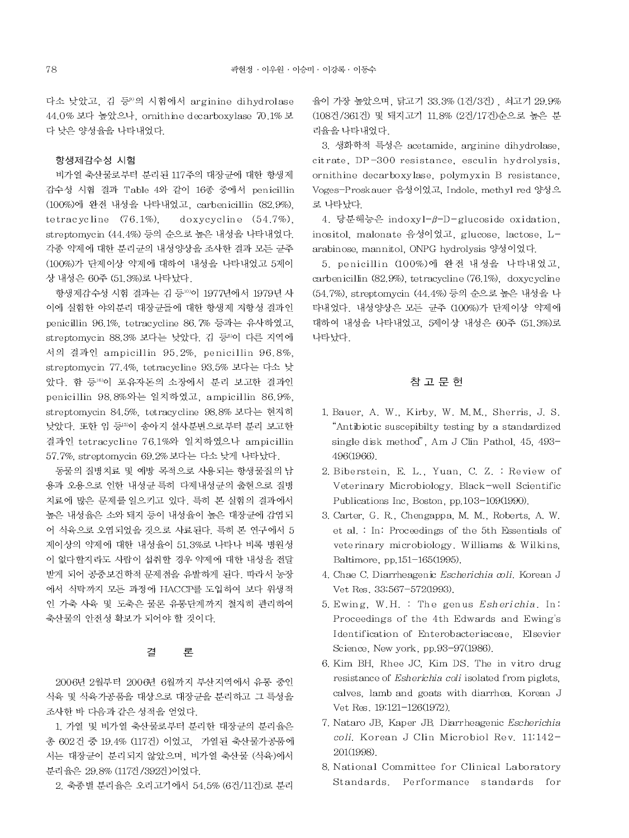다소 낮았고, 김 등<sup>9)</sup>의 시험에서 arginine dihydrolase 44.0% 보다 높았으나, ornithine decarboxylase 70.1% 보 다 낮은 양성율을 나타내었다.

## 항생제감수성 시험

비가열 축산물로부터 분리된 117주의 대장균에 대한 항생제 감수성 시험 결과 Table 4와 같이 16종 중에서 penicillin (100%)에 완전 내성을 나타내었고, carbenicillin (82.9%). tetracycline  $(76.1\%)$ , doxycycline  $(54.7\%)$ , streptomycin (44.4%) 등의 순으로 높은 내성을 나타내었다. 각종 약제에 대한 분리균의 내성양상을 조사한 결과 모든 균주 (100%)가 단제이상 약제에 대하여 내성을 나타내었고 5제이 상 내성은 60주 (51.3%)로 나타났다.

항생제감수성 시험 결과는 김 등 이 1977년에서 1979년 사 이에 실험한 야외분리 대장균들에 대한 항생제 저항성 결과인 penicillin 96.1%, tetracycline 86.7% 등과는 유사하였고, streptomycin 88.3% 보다는 낮았다. 김 등8이 다른 지역에 서의 결과인 ampicillin 95.2%, penicillin 96.8%, streptomycin 77.4%, tetracycline 93.5% 보다는 다소 낮 았다. 함 등16)이 포유자돈의 소장에서 분리 보고한 결과인 penicillin 98.8%와는 일치하였고, ampicillin 86.9%. streptomycin 84.5%, tetracycline 98.8% 보다는 현저히 낮았다. 또한 임 등 이 송아지 설사분변으로부터 분리 보고한 결과인 tetracycline 76.1%와 일치하였으나 ampicillin 57.7%, streptomycin 69.2% 보다는 다소 낮게 나타났다.

동물의 질병치료 및 예방 목적으로 사용되는 항생물질의 남 용과 오용으로 인한 내성균 특히 다제내성균의 출현으로 질병 치료에 많은 문제를 일으키고 있다. 특히 본 실험의 결과에서 높은 내성율은 소와 돼지 등이 내성율이 높은 대장균에 감염되 어 식육으로 오염되었을 것으로 사료된다. 특히 본 연구에서 5 제이상의 약제에 대한 내성율이 51.3%로 나타나 비록 병원성 이 없다할지라도 사람이 섭취할 경우 약제에 대한 내성을 전달 받게 되어 공중보건학적 문제점을 유발하게 된다. 따라서 농장 에서 식탁까지 모든 과정에 HACCP를 도입하여 보다 위생적 인 가축 사육 및 도축은 물론 유통단계까지 철저히 관리하여 축산물의 안전성 확보가 되어야 할 것이다.

#### 곀 론

2006년 2월부터 2006년 6월까지 부산지역에서 유통 중인 식육 및 식육가공품을 대상으로 대장균을 분리하고 그 특성을 조사한 바 다음과 같은 성적을 얻었다.

1. 가열 및 비가열 축산물로부터 분리한 대장균의 분리율은 총 602건 중 19.4% (117건) 이었고, 가열된 축산물가공품에 서는 대장균이 분리되지 않았으며, 비가열 축산물 (식육)에서 분리율은 29.8% (117건/392건)이었다.

2. 축종별 분리율은 오리고기에서 54.5% (6건/11건)로 분리

율이 가장 높았으며, 닭고기 33.3% (1건/3건), 쇠고기 29.9% (108건/361건) 및 돼지고기 11.8% (2건/17건)순으로 높은 분 리율을 나타내었다.

3. 생화학적 특성은 acetamide, arginine dihydrolase, citrate, DP-300 resistance, esculin hydrolysis, ornithine decarboxylase, polymyxin B resistance, Voges-Proskauer 음성이었고, Indole, methyl red 양성으 로 나타났다.

4. 당분해능은 indoxyl-β-D-glucoside oxidation, inositol, malonate 음성이었고, glucose, lactose, Larabinose, mannitol, ONPG hydrolysis 양성이었다.

5. penicillin (100%)에 완전 내성을 나타내었고. carbenicillin (82.9%), tetracycline (76.1%), doxycycline (54.7%), streptomycin (44.4%) 등의 순으로 높은 내성을 나 타내었다. 내성양상은 모든 균주 (100%)가 단제이상 약제에 대하여 내성을 나타내었고, 5세이상 내성은 60주 (51.3%)로 나타났다.

# 참 고 문 헌

- 1. Bauer, A. W., Kirby, W. M.M., Sherris, J. S. "Antibiotic suscepibilty testing by a standardized single disk method", Am J Clin Pathol, 45, 493-496(1966).
- 2. Biberstein, E. L., Yuan, C. Z. : Review of Veterinary Microbiology, Black-well Scientific Publications Inc, Boston, pp.103-109(1990).
- 3. Carter, G. R., Chengappa, M. M., Roberts, A. W. et al. : In: Proceedings of the 5th Essentials of veterinary microbiology. Williams & Wilkins, Baltimore, pp.151-165(1995).
- 4. Chae C. Diarrheagenic Escherichia coli. Korean J Vet Res. 33:567-572(1993).
- 5. Ewing, W.H. : The genus Esherichia. In: Proceedings of the 4th Edwards and Ewing's Identification of Enterobacteriaceae, Elsevier Science, New york, pp.93-97(1986).
- 6. Kim BH, Rhee JC, Kim DS. The in vitro drug resistance of Esherichia coli isolated from piglets, calves, lamb and goats with diarrhea. Korean J Vet Res. 19:121-126(1972).
- 7. Nataro JB, Kaper JB, Diarrheagenic Escherichia coli. Korean J Clin Microbiol Rev. 11:142-201(1998)
- 8. National Committee for Clinical Laboratory Standards. Performance standards for